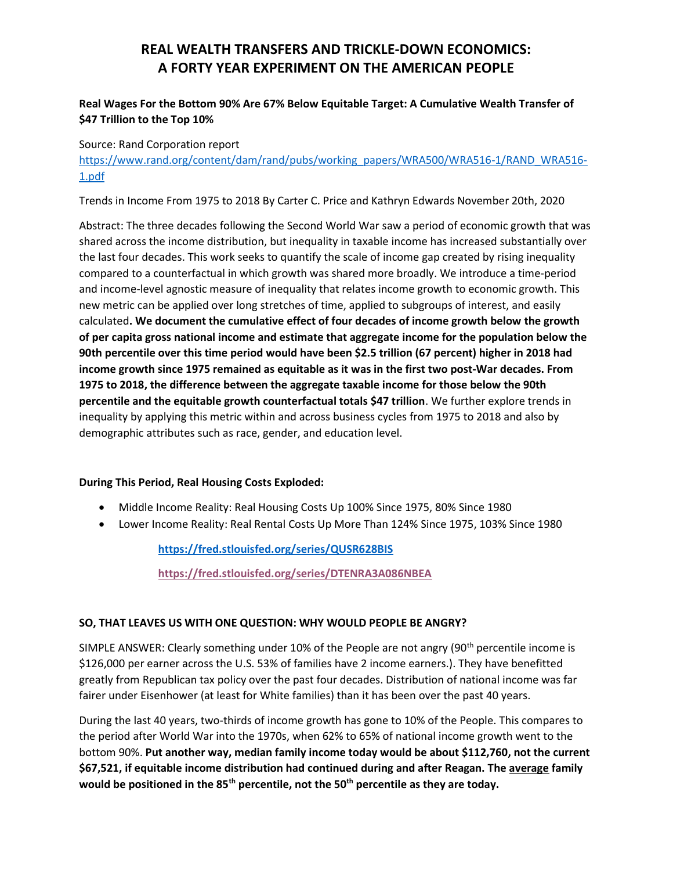## REAL WEALTH TRANSFERS AND TRICKLE-DOWN ECONOMICS: A FORTY YEAR EXPERIMENT ON THE AMERICAN PEOPLE

### Real Wages For the Bottom 90% Are 67% Below Equitable Target: A Cumulative Wealth Transfer of \$47 Trillion to the Top 10%

#### Source: Rand Corporation report

https://www.rand.org/content/dam/rand/pubs/working\_papers/WRA500/WRA516-1/RAND\_WRA516- 1.pdf

Trends in Income From 1975 to 2018 By Carter C. Price and Kathryn Edwards November 20th, 2020

Abstract: The three decades following the Second World War saw a period of economic growth that was shared across the income distribution, but inequality in taxable income has increased substantially over the last four decades. This work seeks to quantify the scale of income gap created by rising inequality compared to a counterfactual in which growth was shared more broadly. We introduce a time-period and income-level agnostic measure of inequality that relates income growth to economic growth. This new metric can be applied over long stretches of time, applied to subgroups of interest, and easily calculated. We document the cumulative effect of four decades of income growth below the growth of per capita gross national income and estimate that aggregate income for the population below the 90th percentile over this time period would have been \$2.5 trillion (67 percent) higher in 2018 had income growth since 1975 remained as equitable as it was in the first two post-War decades. From 1975 to 2018, the difference between the aggregate taxable income for those below the 90th percentile and the equitable growth counterfactual totals \$47 trillion. We further explore trends in inequality by applying this metric within and across business cycles from 1975 to 2018 and also by demographic attributes such as race, gender, and education level.

#### During This Period, Real Housing Costs Exploded:

- Middle Income Reality: Real Housing Costs Up 100% Since 1975, 80% Since 1980
- Lower Income Reality: Real Rental Costs Up More Than 124% Since 1975, 103% Since 1980

https://fred.stlouisfed.org/series/QUSR628BIS

https://fred.stlouisfed.org/series/DTENRA3A086NBEA

#### SO, THAT LEAVES US WITH ONE QUESTION: WHY WOULD PEOPLE BE ANGRY?

SIMPLE ANSWER: Clearly something under 10% of the People are not angry (90<sup>th</sup> percentile income is \$126,000 per earner across the U.S. 53% of families have 2 income earners.). They have benefitted greatly from Republican tax policy over the past four decades. Distribution of national income was far fairer under Eisenhower (at least for White families) than it has been over the past 40 years.

During the last 40 years, two-thirds of income growth has gone to 10% of the People. This compares to the period after World War into the 1970s, when 62% to 65% of national income growth went to the bottom 90%. Put another way, median family income today would be about \$112,760, not the current \$67,521, if equitable income distribution had continued during and after Reagan. The average family would be positioned in the 85<sup>th</sup> percentile, not the 50<sup>th</sup> percentile as they are today.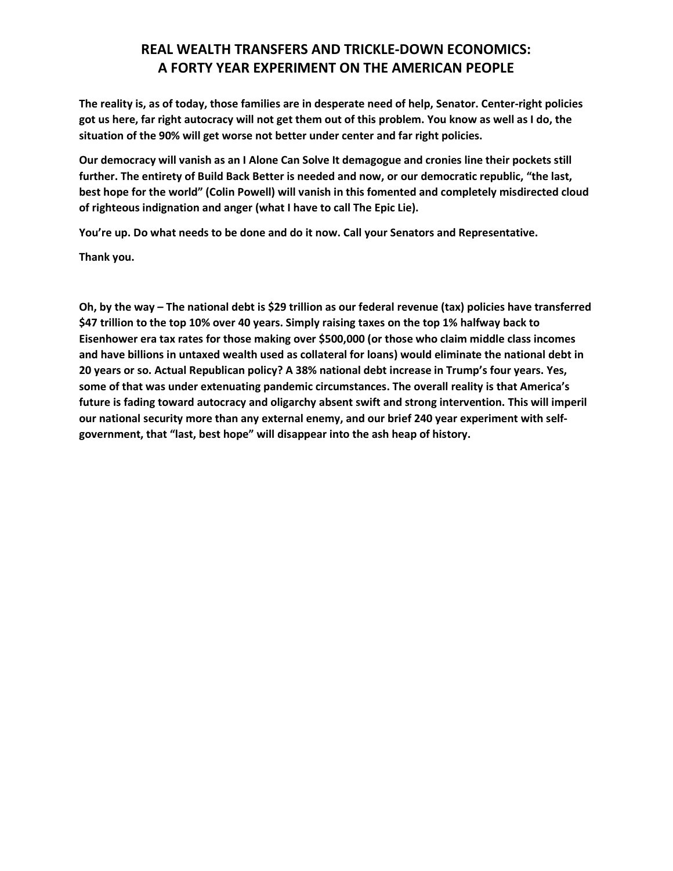## REAL WEALTH TRANSFERS AND TRICKLE-DOWN ECONOMICS: A FORTY YEAR EXPERIMENT ON THE AMERICAN PEOPLE

The reality is, as of today, those families are in desperate need of help, Senator. Center-right policies got us here, far right autocracy will not get them out of this problem. You know as well as I do, the situation of the 90% will get worse not better under center and far right policies.

Our democracy will vanish as an I Alone Can Solve It demagogue and cronies line their pockets still further. The entirety of Build Back Better is needed and now, or our democratic republic, "the last, best hope for the world" (Colin Powell) will vanish in this fomented and completely misdirected cloud of righteous indignation and anger (what I have to call The Epic Lie).

You're up. Do what needs to be done and do it now. Call your Senators and Representative.

Thank you.

Oh, by the way – The national debt is \$29 trillion as our federal revenue (tax) policies have transferred \$47 trillion to the top 10% over 40 years. Simply raising taxes on the top 1% halfway back to Eisenhower era tax rates for those making over \$500,000 (or those who claim middle class incomes and have billions in untaxed wealth used as collateral for loans) would eliminate the national debt in 20 years or so. Actual Republican policy? A 38% national debt increase in Trump's four years. Yes, some of that was under extenuating pandemic circumstances. The overall reality is that America's future is fading toward autocracy and oligarchy absent swift and strong intervention. This will imperil our national security more than any external enemy, and our brief 240 year experiment with selfgovernment, that "last, best hope" will disappear into the ash heap of history.